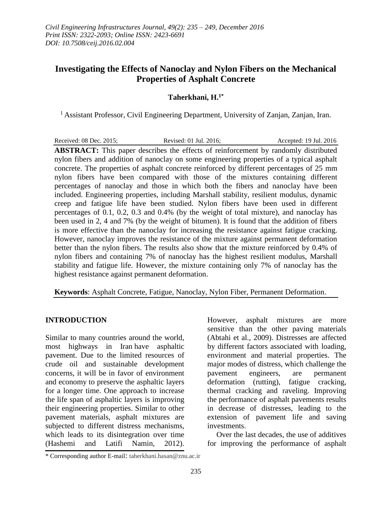# **Investigating the Effects of Nanoclay and Nylon Fibers on the Mechanical Properties of Asphalt Concrete**

#### **Taherkhani, H.1\***

<sup>1</sup> Assistant Professor, Civil Engineering Department, University of Zanjan, Zanjan, Iran.

Received: 08 Dec. 2015; Revised: 01 Jul. 2016; Accepted: 19 Jul. 2016 **ABSTRACT:** This paper describes the effects of reinforcement by randomly distributed nylon fibers and addition of nanoclay on some engineering properties of a typical asphalt concrete. The properties of asphalt concrete reinforced by different percentages of 25 mm nylon fibers have been compared with those of the mixtures containing different percentages of nanoclay and those in which both the fibers and nanoclay have been included. Engineering properties, including Marshall stability, resilient modulus, dynamic creep and fatigue life have been studied. Nylon fibers have been used in different percentages of 0.1, 0.2, 0.3 and 0.4% (by the weight of total mixture), and nanoclay has been used in 2, 4 and 7% (by the weight of bitumen). It is found that the addition of fibers is more effective than the nanoclay for increasing the resistance against fatigue cracking. However, nanoclay improves the resistance of the mixture against permanent deformation better than the nylon fibers. The results also show that the mixture reinforced by 0.4% of nylon fibers and containing 7% of nanoclay has the highest resilient modulus, Marshall stability and fatigue life. However, the mixture containing only 7% of nanoclay has the highest resistance against permanent deformation.

**Keywords**: Asphalt Concrete, Fatigue, Nanoclay, Nylon Fiber, Permanent Deformation.

#### **INTRODUCTION**

Similar to many countries around the world, most highways in Iran have asphaltic pavement. Due to the limited resources of crude oil and sustainable development concerns, it will be in favor of environment and economy to preserve the asphaltic layers for a longer time. One approach to increase the life span of asphaltic layers is improving their engineering properties. Similar to other pavement materials, asphalt mixtures are subjected to different distress mechanisms, which leads to its disintegration over time (Hashemi and Latifi Namin, 2012).

However, asphalt mixtures are more sensitive than the other paving materials (Abtahi et al., 2009). Distresses are affected by different factors associated with loading, environment and material properties. The major modes of distress, which challenge the pavement engineers, are permanent deformation (rutting), fatigue cracking, thermal cracking and raveling. Improving the performance of asphalt pavements results in decrease of distresses, leading to the extension of pavement life and saving investments.

Over the last decades, the use of additives for improving the performance of asphalt

<sup>\*</sup> Corresponding author E-mail: taherkhani.hasan@znu.ac.ir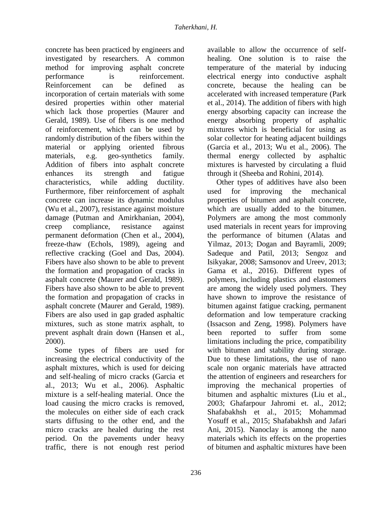concrete has been practiced by engineers and investigated by researchers. A common method for improving asphalt concrete performance is reinforcement. Reinforcement can be defined as incorporation of certain materials with some desired properties within other material which lack those properties (Maurer and Gerald, 1989). Use of fibers is one method of reinforcement, which can be used by randomly distribution of the fibers within the material or applying oriented fibrous materials, e.g. geo-synthetics family. Addition of fibers into asphalt concrete enhances its strength and fatigue characteristics, while adding ductility. Furthermore, fiber reinforcement of asphalt concrete can increase its dynamic modulus (Wu et al., 2007), resistance against moisture damage (Putman and Amirkhanian, 2004), creep compliance, resistance against permanent deformation (Chen et al., 2004), freeze-thaw (Echols, 1989), ageing and reflective cracking (Goel and Das, 2004). Fibers have also shown to be able to prevent the formation and propagation of cracks in asphalt concrete (Maurer and Gerald, 1989). Fibers have also shown to be able to prevent the formation and propagation of cracks in asphalt concrete (Maurer and Gerald, 1989). Fibers are also used in gap graded asphaltic mixtures, such as stone matrix asphalt, to prevent asphalt drain down (Hansen et al., 2000).

Some types of fibers are used for increasing the electrical conductivity of the asphalt mixtures, which is used for deicing and self-healing of micro cracks (Garcia et al., 2013; Wu et al., 2006). Asphaltic mixture is a self-healing material. Once the load causing the micro cracks is removed, the molecules on either side of each crack starts diffusing to the other end, and the micro cracks are healed during the rest period. On the pavements under heavy traffic, there is not enough rest period

available to allow the occurrence of selfhealing. One solution is to raise the temperature of the material by inducing electrical energy into conductive asphalt concrete, because the healing can be accelerated with increased temperature (Park et al., 2014). The addition of fibers with high energy absorbing capacity can increase the energy absorbing property of asphaltic mixtures which is beneficial for using as solar collector for heating adjacent buildings (Garcia et al., 2013; Wu et al., 2006). The thermal energy collected by asphaltic mixtures is harvested by circulating a fluid through it (Sheeba and Rohini, 2014).

Other types of additives have also been used for improving the mechanical properties of bitumen and asphalt concrete, which are usually added to the bitumen. Polymers are among the most commonly used materials in recent years for improving the performance of bitumen (Alatas and Yilmaz, 2013; Dogan and Bayramli, 2009; Sadeque and Patil, 2013; Sengoz and Isikyakar, 2008; Samsonov and Ureev, 2013; Gama et al., 2016). Different types of polymers, including plastics and elastomers are among the widely used polymers. They have shown to improve the resistance of bitumen against fatigue cracking, permanent deformation and low temperature cracking (Issacson and Zeng, 1998). Polymers have been reported to suffer from some limitations including the price, compatibility with bitumen and stability during storage. Due to these limitations, the use of nano scale non organic materials have attracted the attention of engineers and researchers for improving the mechanical properties of bitumen and asphaltic mixtures (Liu et al., 2003; Ghafarpour Jahromi et. al., 2012; Shafabakhsh et al., 2015; Mohammad Yosuff et al., 2015; Shafabakhsh and Jafari Ani, 2015). Nanoclay is among the nano materials which its effects on the properties of bitumen and asphaltic mixtures have been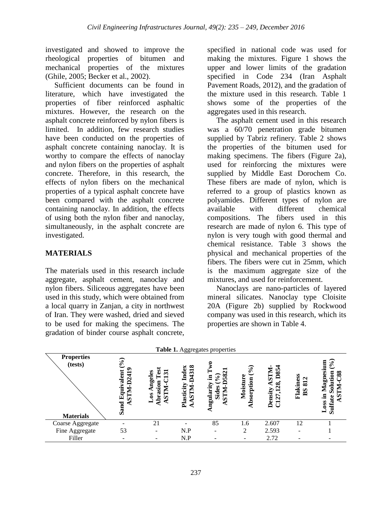investigated and showed to improve the rheological properties of bitumen and mechanical properties of the mixtures (Ghile, 2005; Becker et al., 2002).

Sufficient documents can be found in literature, which have investigated the properties of fiber reinforced asphaltic mixtures. However, the research on the asphalt concrete reinforced by nylon fibers is limited. In addition, few research studies have been conducted on the properties of asphalt concrete containing nanoclay. It is worthy to compare the effects of nanoclay and nylon fibers on the properties of asphalt concrete. Therefore, in this research, the effects of nylon fibers on the mechanical properties of a typical asphalt concrete have been compared with the asphalt concrete containing nanoclay. In addition, the effects of using both the nylon fiber and nanoclay, simultaneously, in the asphalt concrete are investigated.

# **MATERIALS**

The materials used in this research include aggregate, asphalt cement, nanoclay and nylon fibers. Siliceous aggregates have been used in this study, which were obtained from a local quarry in Zanjan, a city in northwest of Iran. They were washed, dried and sieved to be used for making the specimens. The gradation of binder course asphalt concrete,

specified in national code was used for making the mixtures. Figure 1 shows the upper and lower limits of the gradation specified in Code 234 (Iran Asphalt Pavement Roads, 2012), and the gradation of the mixture used in this research. Table 1 shows some of the properties of the aggregates used in this research.

The asphalt cement used in this research was a 60/70 penetration grade bitumen supplied by Tabriz refinery. Table 2 shows the properties of the bitumen used for making specimens. The fibers (Figure 2a), used for reinforcing the mixtures were supplied by Middle East Dorochem Co. These fibers are made of nylon, which is referred to a group of plastics known as polyamides. Different types of nylon are available with different chemical compositions. The fibers used in this research are made of nylon 6. This type of nylon is very tough with good thermal and chemical resistance. Table 3 shows the physical and mechanical properties of the fibers. The fibers were cut in 25mm, which is the maximum aggregate size of the mixtures, and used for reinforcement.

Nanoclays are nano-particles of layered mineral silicates. Nanoclay type Cloisite 20A (Figure 2b) supplied by Rockwood company was used in this research, which its properties are shown in Table 4.

| Table 1. Aggregates properties                   |                                                             |                                                       |                                                                |                                                                                            |                                                       |                                                   |                                                       |                                                                 |
|--------------------------------------------------|-------------------------------------------------------------|-------------------------------------------------------|----------------------------------------------------------------|--------------------------------------------------------------------------------------------|-------------------------------------------------------|---------------------------------------------------|-------------------------------------------------------|-----------------------------------------------------------------|
| <b>Properties</b><br>(tests)<br><b>Materials</b> | ୕<br>읖<br>valent<br>J<br>$TM-D2$<br>iinp<br>囯<br>τ٥<br>Sand | ngeles<br>ణ<br>Abrasion<br><b>STN</b><br>$\mathbf{6}$ | 1318<br>Index<br>⊉<br>Plasticity<br><b>NLIS</b><br>$\triangle$ | $\mathbf{\Omega}$<br>∞<br>,<br>$\mathcal{S}_{\bullet}$<br>ngularity<br>Sides<br><b>NTS</b> | $\mathcal{S}_{\bullet}$<br>Moisture<br>bsorption<br>€ | <b>NTS</b><br><b>D85</b><br>28<br>Density<br>C127 | Flakiness<br>$\mathbf{\Omega}$<br>ವ<br>B <sub>S</sub> | sium<br>∘<br>88<br>5<br>Magno<br>ਠ<br>- 드<br>≌<br>Sulfa<br>Loss |
| Coarse Aggregate                                 |                                                             | 21                                                    |                                                                | 85                                                                                         | 1.6                                                   | 2.607                                             | 12                                                    |                                                                 |
| Fine Aggregate                                   | 53                                                          |                                                       | N.P                                                            |                                                                                            | $\mathfrak{D}$                                        | 2.593                                             |                                                       |                                                                 |
| Filler                                           | -                                                           |                                                       | N.P                                                            |                                                                                            | ۰                                                     | 2.72                                              |                                                       |                                                                 |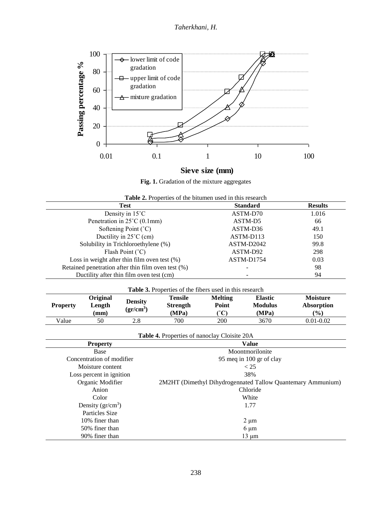*Taherkhani, H.*



# **Sieve size (mm)**

Fig. 1. Gradation of the mixture aggregates

| Table 2. Properties of the bitumen used in this research |  |  |  |  |  |  |
|----------------------------------------------------------|--|--|--|--|--|--|
|----------------------------------------------------------|--|--|--|--|--|--|

| <b>Test</b>                                           | <b>Standard</b> | <b>Results</b> |
|-------------------------------------------------------|-----------------|----------------|
| Density in $15^{\circ}$ C                             | ASTM-D70        | 1.016          |
| Penetration in $25^{\circ}$ C (0.1mm)                 | ASTM-D5         | 66             |
| Softening Point $(^{\circ}C)$                         | ASTM-D36        | 49.1           |
| Ductility in $25^{\circ}$ C (cm)                      | ASTM-D113       | 150            |
| Solubility in Trichloroethylene (%)                   | ASTM-D2042      | 99.8           |
| Flash Point (°C)                                      | ASTM-D92        | 298            |
| Loss in weight after thin film oven test $(\%)$       | ASTM-D1754      | 0.03           |
| Retained penetration after thin film oven test $(\%)$ |                 | 98             |
| Ductility after thin film oven test (cm)              |                 | 94             |

| <b>Table 3.</b> Properties of the fibers used in this research |                                              |                                     |                                            |                                   |                                           |                                                |
|----------------------------------------------------------------|----------------------------------------------|-------------------------------------|--------------------------------------------|-----------------------------------|-------------------------------------------|------------------------------------------------|
| <b>Property</b>                                                | <b>Original</b><br>Length<br>$(\mathbf{mm})$ | <b>Density</b><br>$({\rm gr/cm^3})$ | <b>Tensile</b><br><b>Strength</b><br>(MPa) | Melting<br>Point<br>$^{\circ}$ C) | <b>Elastic</b><br><b>Modulus</b><br>(MPa) | <b>Moisture</b><br><b>Absorption</b><br>$($ %) |
| Value                                                          | 50                                           | 2.8                                 | 700                                        | 200                               | 3670                                      | $0.01 - 0.02$                                  |

|  |  | Table 4. Properties of nanoclay Cloisite 20A |  |
|--|--|----------------------------------------------|--|
|--|--|----------------------------------------------|--|

| <b>Property</b>           | <b>Value</b>                                                |
|---------------------------|-------------------------------------------------------------|
| Base                      | Moontmorilonite                                             |
| Concentration of modifier | 95 meg in 100 gr of clay                                    |
| Moisture content          | < 25                                                        |
| Loss percent in ignition  | 38%                                                         |
| Organic Modifier          | 2M2HT (Dimethyl Dihydrogennated Tallow Quantemary Ammunium) |
| Anion                     | Chloride                                                    |
| Color                     | White                                                       |
| Density $gr/cm^3$ )       | 1.77                                                        |
| Particles Size            |                                                             |
| 10% finer than            | $2 \mu m$                                                   |
| 50% finer than            | $6 \mu m$                                                   |
| 90% finer than            | $13 \mu m$                                                  |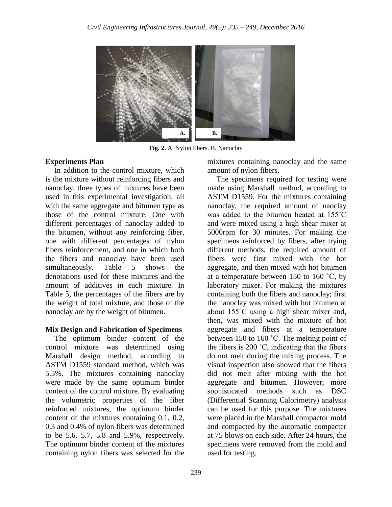

**Fig. 2.** A. Nylon fibers. B. Nanoclay

### **Experiments Plan**

In addition to the control mixture, which is the mixture without reinforcing fibers and nanoclay, three types of mixtures have been used in this experimental investigation, all with the same aggregate and bitumen type as those of the control mixture. One with different percentages of nanoclay added to the bitumen, without any reinforcing fiber, one with different percentages of nylon fibers reinforcement, and one in which both the fibers and nanoclay have been used simultaneously. Table 5 shows the denotations used for these mixtures and the amount of additives in each mixture. In Table 5, the percentages of the fibers are by the weight of total mixture, and those of the nanoclay are by the weight of bitumen.

# **Mix Design and Fabrication of Specimens**

The optimum binder content of the control mixture was determined using Marshall design method, according to ASTM D1559 standard method, which was 5.5%. The mixtures containing nanoclay were made by the same optimum binder content of the control mixture. By evaluating the volumetric properties of the fiber reinforced mixtures, the optimum binder content of the mixtures containing 0.1, 0.2, 0.3 and 0.4% of nylon fibers was determined to be 5.6, 5.7, 5.8 and 5.9%, respectively. The optimum binder content of the mixtures containing nylon fibers was selected for the

mixtures containing nanoclay and the same amount of nylon fibers.

The specimens required for testing were made using Marshall method, according to ASTM D1559. For the mixtures containing nanoclay, the required amount of naoclay was added to the bitumen heated at 155˚C and were mixed using a high shear mixer at 5000rpm for 30 minutes. For making the specimens reinforced by fibers, after trying different methods, the required amount of fibers were first mixed with the hot aggregate, and then mixed with hot bitumen at a temperature between 150 to 160  $°C$ , by laboratory mixer. For making the mixtures containing both the fibers and nanoclay; first the nanoclay was mixed with hot bitumen at about 155˚C using a high shear mixer and, then, was mixed with the mixture of hot aggregate and fibers at a temperature between 150 to 160 °C. The melting point of the fibers is 200 ˚C, indicating that the fibers do not melt during the mixing process. The visual inspection also showed that the fibers did not melt after mixing with the hot aggregate and bitumen. However, more sophisticated methods such as DSC (Differential Scanning Calorimetry) analysis can be used for this purpose. The mixtures were placed in the Marshall compactor mold and compacted by the automatic compacter at 75 blows on each side. After 24 hours, the specimens were removed from the mold and used for testing.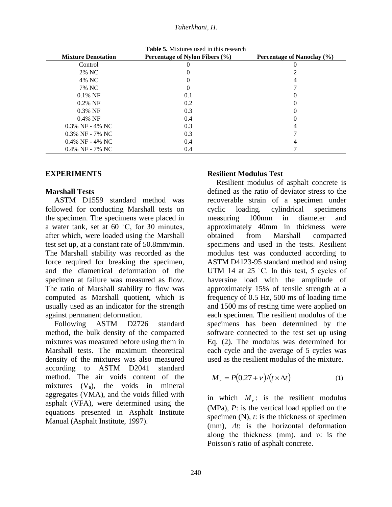#### *Taherkhani, H.*

**Table 5.** Mixtures used in this research

| <b>Mixture Denotation</b> | Percentage of Nylon Fibers (%) | Percentage of Nanoclay (%) |
|---------------------------|--------------------------------|----------------------------|
| Control                   |                                |                            |
| 2% NC                     |                                |                            |
| 4% NC                     |                                |                            |
| 7% NC                     |                                |                            |
| $0.1\%$ NF                | 0.1                            |                            |
| $0.2\%$ NF                | 0.2                            |                            |
| $0.3\%$ NF                | 0.3                            |                            |
| $0.4\%$ NF                | 0.4                            |                            |
| $0.3\%$ NF - 4% NC        | 0.3                            |                            |
| $0.3\%$ NF - 7% NC        | 0.3                            |                            |
| $0.4\%$ NF - 4% NC        | 0.4                            |                            |
| $0.4\%$ NF - 7% NC        | 0.4                            |                            |

#### **EXPERIMENTS**

#### **Marshall Tests**

ASTM D1559 standard method was followed for conducting Marshall tests on the specimen. The specimens were placed in a water tank, set at 60 ˚C, for 30 minutes, after which, were loaded using the Marshall test set up, at a constant rate of 50.8mm/min. The Marshall stability was recorded as the force required for breaking the specimen, and the diametrical deformation of the specimen at failure was measured as flow. The ratio of Marshall stability to flow was computed as Marshall quotient, which is usually used as an indicator for the strength against permanent deformation.

Following ASTM D2726 standard method, the bulk density of the compacted mixtures was measured before using them in Marshall tests. The maximum theoretical density of the mixtures was also measured according to ASTM D2041 standard method. The air voids content of the mixtures  $(V_a)$ , the voids in mineral aggregates (VMA), and the voids filled with asphalt (VFA), were determined using the equations presented in Asphalt Institute Manual (Asphalt Institute, 1997).

#### **Resilient Modulus Test**

Resilient modulus of asphalt concrete is defined as the ratio of deviator stress to the recoverable strain of a specimen under cyclic loading. cylindrical specimens measuring 100mm in diameter and approximately 40mm in thickness were obtained from Marshall compacted specimens and used in the tests. Resilient modulus test was conducted according to ASTM D4123-95 standard method and using UTM 14 at 25 °C. In this test, 5 cycles of haversine load with the amplitude of approximately 15% of tensile strength at a frequency of 0.5 Hz, 500 ms of loading time and 1500 ms of resting time were applied on each specimen. The resilient modulus of the specimens has been determined by the software connected to the test set up using Eq. (2). The modulus was determined for each cycle and the average of 5 cycles was used as the resilient modulus of the mixture.

$$
M_r = P(0.27 + v)/(t \times \Delta t) \tag{1}
$$

in which  $M_r$ : is the resilient modulus (MPa), *P*: is the vertical load applied on the specimen (N), *t*: is the thickness of specimen (mm), *Δt*: is the horizontal deformation along the thickness (mm), and υ: is the Poisson's ratio of asphalt concrete.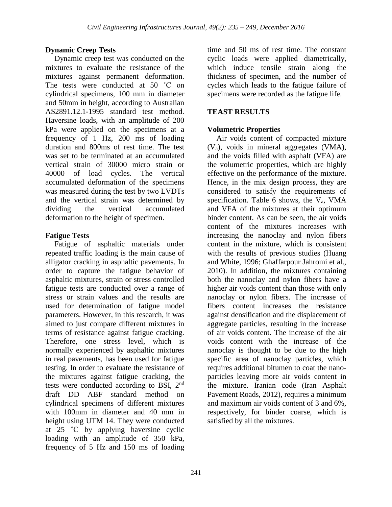# **Dynamic Creep Tests**

Dynamic creep test was conducted on the mixtures to evaluate the resistance of the mixtures against permanent deformation. The tests were conducted at 50 °C on cylindrical specimens, 100 mm in diameter and 50mm in height, according to Australian AS2891.12.1-1995 standard test method. Haversine loads, with an amplitude of 200 kPa were applied on the specimens at a frequency of 1 Hz, 200 ms of loading duration and 800ms of rest time. The test was set to be terminated at an accumulated vertical strain of 30000 micro strain or 40000 of load cycles. The vertical accumulated deformation of the specimens was measured during the test by two LVDTs and the vertical strain was determined by dividing the vertical accumulated deformation to the height of specimen.

### **Fatigue Tests**

Fatigue of asphaltic materials under repeated traffic loading is the main cause of alligator cracking in asphaltic pavements. In order to capture the fatigue behavior of asphaltic mixtures, strain or stress controlled fatigue tests are conducted over a range of stress or strain values and the results are used for determination of fatigue model parameters. However, in this research, it was aimed to just compare different mixtures in terms of resistance against fatigue cracking. Therefore, one stress level, which is normally experienced by asphaltic mixtures in real pavements, has been used for fatigue testing. In order to evaluate the resistance of the mixtures against fatigue cracking, the tests were conducted according to BSI, 2nd draft DD ABF standard method on cylindrical specimens of different mixtures with 100mm in diameter and 40 mm in height using UTM 14. They were conducted at 25 ˚C by applying haversine cyclic loading with an amplitude of 350 kPa, frequency of 5 Hz and 150 ms of loading

time and 50 ms of rest time. The constant cyclic loads were applied diametrically, which induce tensile strain along the thickness of specimen, and the number of cycles which leads to the fatigue failure of specimens were recorded as the fatigue life.

# **TEAST RESULTS**

### **Volumetric Properties**

Air voids content of compacted mixture (Va), voids in mineral aggregates (VMA), and the voids filled with asphalt (VFA) are the volumetric properties, which are highly effective on the performance of the mixture. Hence, in the mix design process, they are considered to satisfy the requirements of specification. Table 6 shows, the  $V_a$ , VMA and VFA of the mixtures at their optimum binder content. As can be seen, the air voids content of the mixtures increases with increasing the nanoclay and nylon fibers content in the mixture, which is consistent with the results of previous studies (Huang and White, 1996; Ghaffarpour Jahromi et al., 2010). In addition, the mixtures containing both the nanoclay and nylon fibers have a higher air voids content than those with only nanoclay or nylon fibers. The increase of fibers content increases the resistance against densification and the displacement of aggregate particles, resulting in the increase of air voids content. The increase of the air voids content with the increase of the nanoclay is thought to be due to the high specific area of nanoclay particles, which requires additional bitumen to coat the nanoparticles leaving more air voids content in the mixture. Iranian code (Iran Asphalt Pavement Roads, 2012), requires a minimum and maximum air voids content of 3 and 6%, respectively, for binder coarse, which is satisfied by all the mixtures.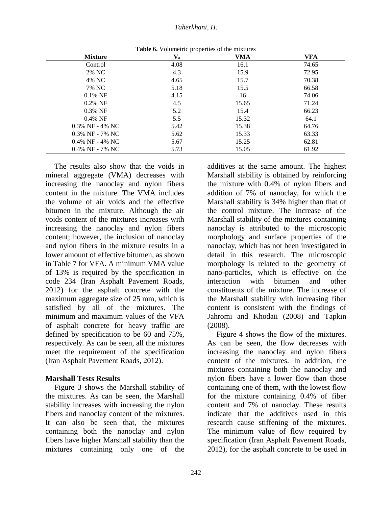| <b>Mixture</b>     | $\mathbf{V}_{\mathbf{a}}$ | VMA   | VFA   |
|--------------------|---------------------------|-------|-------|
| Control            | 4.08                      | 16.1  | 74.65 |
| 2% NC              | 4.3                       | 15.9  | 72.95 |
| 4% NC              | 4.65                      | 15.7  | 70.38 |
| 7% NC              | 5.18                      | 15.5  | 66.58 |
| $0.1\%$ NF         | 4.15                      | 16    | 74.06 |
| $0.2\%$ NF         | 4.5                       | 15.65 | 71.24 |
| $0.3\%$ NF         | 5.2                       | 15.4  | 66.23 |
| $0.4\%$ NF         | 5.5                       | 15.32 | 64.1  |
| $0.3\%$ NF - 4% NC | 5.42                      | 15.38 | 64.76 |
| $0.3\%$ NF - 7% NC | 5.62                      | 15.33 | 63.33 |
| $0.4\%$ NF - 4% NC | 5.67                      | 15.25 | 62.81 |
| $0.4\%$ NF - 7% NC | 5.73                      | 15.05 | 61.92 |

**Table 6.** Volumetric properties of the mixtures

The results also show that the voids in mineral aggregate (VMA) decreases with increasing the nanoclay and nylon fibers content in the mixture. The VMA includes the volume of air voids and the effective bitumen in the mixture. Although the air voids content of the mixtures increases with increasing the nanoclay and nylon fibers content; however, the inclusion of nanoclay and nylon fibers in the mixture results in a lower amount of effective bitumen, as shown in Table 7 for VFA. A minimum VMA value of 13% is required by the specification in code 234 (Iran Asphalt Pavement Roads, 2012) for the asphalt concrete with the maximum aggregate size of 25 mm, which is satisfied by all of the mixtures. The minimum and maximum values of the VFA of asphalt concrete for heavy traffic are defined by specification to be 60 and 75%, respectively. As can be seen, all the mixtures meet the requirement of the specification (Iran Asphalt Pavement Roads, 2012).

#### **Marshall Tests Results**

Figure 3 shows the Marshall stability of the mixtures. As can be seen, the Marshall stability increases with increasing the nylon fibers and nanoclay content of the mixtures. It can also be seen that, the mixtures containing both the nanoclay and nylon fibers have higher Marshall stability than the mixtures containing only one of the

additives at the same amount. The highest Marshall stability is obtained by reinforcing the mixture with 0.4% of nylon fibers and addition of 7% of nanoclay, for which the Marshall stability is 34% higher than that of the control mixture. The increase of the Marshall stability of the mixtures containing nanoclay is attributed to the microscopic morphology and surface properties of the nanoclay, which has not been investigated in detail in this research. The microscopic morphology is related to the geometry of nano-particles, which is effective on the interaction with bitumen and other constituents of the mixture. The increase of the Marshall stability with increasing fiber content is consistent with the findings of Jahromi and Khodaii (2008) and Tapkin (2008).

Figure 4 shows the flow of the mixtures. As can be seen, the flow decreases with increasing the nanoclay and nylon fibers content of the mixtures. In addition, the mixtures containing both the nanoclay and nylon fibers have a lower flow than those containing one of them, with the lowest flow for the mixture containing 0.4% of fiber content and 7% of nanoclay. These results indicate that the additives used in this research cause stiffening of the mixtures. The minimum value of flow required by specification (Iran Asphalt Pavement Roads, 2012), for the asphalt concrete to be used in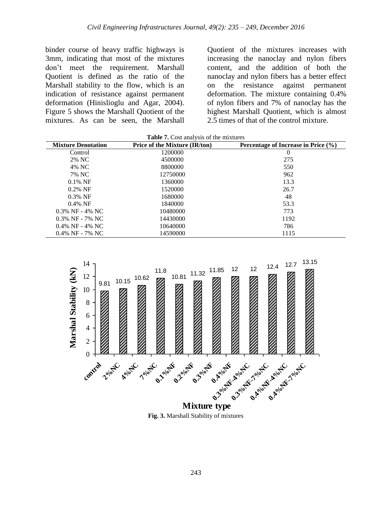binder course of heavy traffic highways is 3mm, indicating that most of the mixtures don't meet the requirement. Marshall Quotient is defined as the ratio of the Marshall stability to the flow, which is an indication of resistance against permanent deformation (Hinislioglu and Agar, 2004). Figure 5 shows the Marshall Quotient of the mixtures. As can be seen, the Marshall

Quotient of the mixtures increases with increasing the nanoclay and nylon fibers content, and the addition of both the nanoclay and nylon fibers has a better effect on the resistance against permanent deformation. The mixture containing 0.4% of nylon fibers and 7% of nanoclay has the highest Marshall Quotient, which is almost 2.5 times of that of the control mixture.

| <b>Table 7.</b> Cost analysis of the mixtures |                                      |                                     |  |  |
|-----------------------------------------------|--------------------------------------|-------------------------------------|--|--|
| <b>Mixture Denotation</b>                     | <b>Price of the Mixture (IR/ton)</b> | Percentage of Increase in Price (%) |  |  |
| Control                                       | 1200000                              | 0                                   |  |  |
| 2% NC                                         | 4500000                              | 275                                 |  |  |
| 4% NC                                         | 8800000                              | 550                                 |  |  |
| 7% NC                                         | 12750000                             | 962                                 |  |  |
| $0.1\% \text{ NF}$                            | 1360000                              | 13.3                                |  |  |
| $0.2\%$ NF                                    | 1520000                              | 26.7                                |  |  |
| $0.3\%$ NF                                    | 1680000                              | 48                                  |  |  |
| $0.4\%$ NF                                    | 1840000                              | 53.3                                |  |  |
| $0.3\%$ NF - 4% NC                            | 10480000                             | 773                                 |  |  |
| $0.3\%$ NF - 7% NC                            | 14430000                             | 1192                                |  |  |
| $0.4\%$ NF - 4% NC                            | 10640000                             | 786                                 |  |  |
| $0.4\%$ NF - 7% NC                            | 14590000                             | 1115                                |  |  |



**Fig. 3.** Marshall Stability of mixtures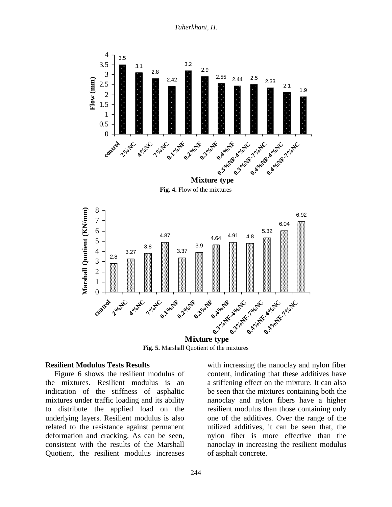*Taherkhani, H.*



**Fig. 5.** Marshall Quotient of the mixtures **Mixture type** 

#### **Resilient Modulus Tests Results**

Figure 6 shows the resilient modulus of the mixtures. Resilient modulus is an indication of the stiffness of asphaltic mixtures under traffic loading and its ability to distribute the applied load on the underlying layers. Resilient modulus is also related to the resistance against permanent deformation and cracking. As can be seen, consistent with the results of the Marshall Quotient, the resilient modulus increases with increasing the nanoclay and nylon fiber content, indicating that these additives have a stiffening effect on the mixture. It can also be seen that the mixtures containing both the nanoclay and nylon fibers have a higher resilient modulus than those containing only one of the additives. Over the range of the utilized additives, it can be seen that, the nylon fiber is more effective than the nanoclay in increasing the resilient modulus of asphalt concrete.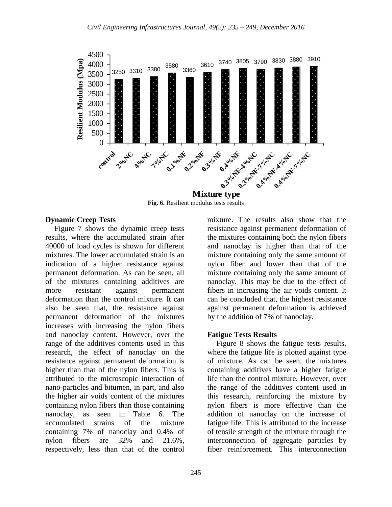

**Fig. 6.** Resilient modulus tests results

#### **Dynamic Creep Tests**

Figure 7 shows the dynamic creep tests results, where the accumulated strain after 40000 of load cycles is shown for different mixtures. The lower accumulated strain is an indication of a higher resistance against permanent deformation. As can be seen, all of the mixtures containing additives are more resistant against permanent deformation than the control mixture. It can also be seen that, the resistance against permanent deformation of the mixtures increases with increasing the nylon fibers and nanoclay content. However, over the range of the additives contents used in this research, the effect of nanoclay on the resistance against permanent deformation is higher than that of the nylon fibers. This is attributed to the microscopic interaction of nano-particles and bitumen, in part, and also the higher air voids content of the mixtures containing nylon fibers than those containing nanoclay, as seen in Table 6. The accumulated strains of the mixture containing 7% of nanoclay and 0.4% of nylon fibers are 32% and 21.6%, respectively, less than that of the control

mixture. The results also show that the resistance against permanent deformation of the mixtures containing both the nylon fibers and nanoclay is higher than that of the mixture containing only the same amount of nylon fiber and lower than that of the mixture containing only the same amount of nanoclay. This may be due to the effect of fibers in increasing the air voids content. It can be concluded that, the highest resistance against permanent deformation is achieved by the addition of 7% of nanoclay.

#### **Fatigue Tests Results**

Figure 8 shows the fatigue tests results, where the fatigue life is plotted against type of mixture. As can be seen, the mixtures containing additives have a higher fatigue life than the control mixture. However, over the range of the additives content used in this research, reinforcing the mixture by nylon fibers is more effective than the addition of nanoclay on the increase of fatigue life. This is attributed to the increase of tensile strength of the mixture through the interconnection of aggregate particles by fiber reinforcement. This interconnection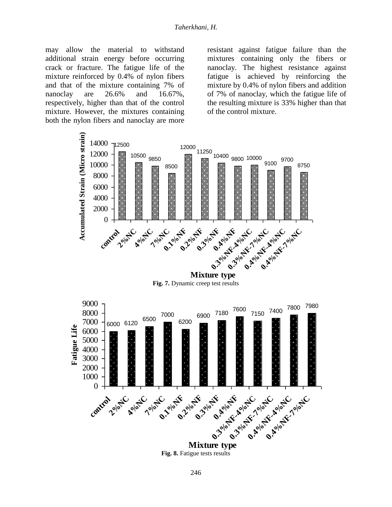may allow the material to withstand additional strain energy before occurring crack or fracture. The fatigue life of the mixture reinforced by 0.4% of nylon fibers and that of the mixture containing 7% of nanoclay are 26.6% and 16.67%, respectively, higher than that of the control mixture. However, the mixtures containing both the nylon fibers and nanoclay are more

resistant against fatigue failure than the mixtures containing only the fibers or nanoclay. The highest resistance against fatigue is achieved by reinforcing the mixture by 0.4% of nylon fibers and addition of 7% of nanoclay, which the fatigue life of the resulting mixture is 33% higher than that of the control mixture.



**Fig. 7.** Dynamic creep test results



Fig. 8. Fatigue tests results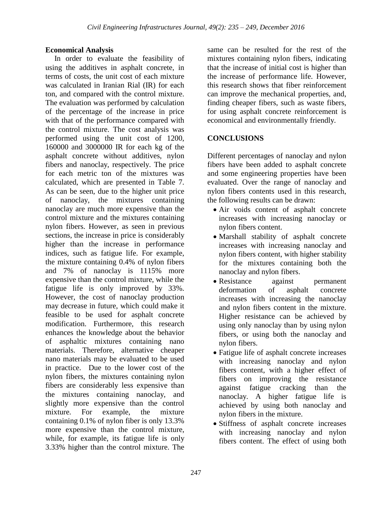### **Economical Analysis**

In order to evaluate the feasibility of using the additives in asphalt concrete, in terms of costs, the unit cost of each mixture was calculated in Iranian Rial (IR) for each ton, and compared with the control mixture. The evaluation was performed by calculation of the percentage of the increase in price with that of the performance compared with the control mixture. The cost analysis was performed using the unit cost of 1200, 160000 and 3000000 IR for each kg of the asphalt concrete without additives, nylon fibers and nanoclay, respectively. The price for each metric ton of the mixtures was calculated, which are presented in Table 7. As can be seen, due to the higher unit price of nanoclay, the mixtures containing nanoclay are much more expensive than the control mixture and the mixtures containing nylon fibers. However, as seen in previous sections, the increase in price is considerably higher than the increase in performance indices, such as fatigue life. For example, the mixture containing 0.4% of nylon fibers and 7% of nanoclay is 1115% more expensive than the control mixture, while the fatigue life is only improved by 33%. However, the cost of nanoclay production may decrease in future, which could make it feasible to be used for asphalt concrete modification. Furthermore, this research enhances the knowledge about the behavior of asphaltic mixtures containing nano materials. Therefore, alternative cheaper nano materials may be evaluated to be used in practice. Due to the lower cost of the nylon fibers, the mixtures containing nylon fibers are considerably less expensive than the mixtures containing nanoclay, and slightly more expensive than the control mixture. For example, the mixture containing 0.1% of nylon fiber is only 13.3% more expensive than the control mixture, while, for example, its fatigue life is only 3.33% higher than the control mixture. The

same can be resulted for the rest of the mixtures containing nylon fibers, indicating that the increase of initial cost is higher than the increase of performance life. However, this research shows that fiber reinforcement can improve the mechanical properties, and, finding cheaper fibers, such as waste fibers, for using asphalt concrete reinforcement is economical and environmentally friendly.

# **CONCLUSIONS**

Different percentages of nanoclay and nylon fibers have been added to asphalt concrete and some engineering properties have been evaluated. Over the range of nanoclay and nylon fibers contents used in this research, the following results can be drawn:

- Air voids content of asphalt concrete increases with increasing nanoclay or nylon fibers content.
- Marshall stability of asphalt concrete increases with increasing nanoclay and nylon fibers content, with higher stability for the mixtures containing both the nanoclay and nylon fibers.
- Resistance against permanent deformation of asphalt concrete increases with increasing the nanoclay and nylon fibers content in the mixture. Higher resistance can be achieved by using only nanoclay than by using nylon fibers, or using both the nanoclay and nylon fibers.
- Fatigue life of asphalt concrete increases with increasing nanoclay and nylon fibers content, with a higher effect of fibers on improving the resistance against fatigue cracking than the nanoclay. A higher fatigue life is achieved by using both nanoclay and nylon fibers in the mixture.
- Stiffness of asphalt concrete increases with increasing nanoclay and nylon fibers content. The effect of using both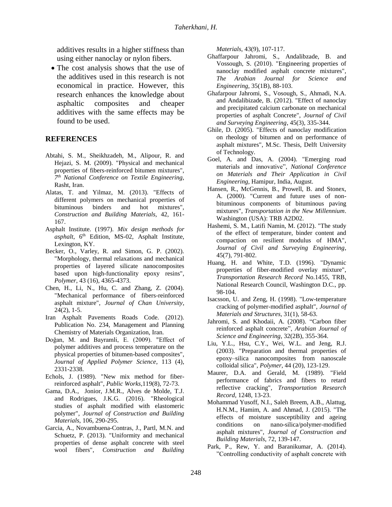additives results in a higher stiffness than using either nanoclay or nylon fibers.

• The cost analysis shows that the use of the additives used in this research is not economical in practice. However, this research enhances the knowledge about asphaltic composites and cheaper additives with the same effects may be found to be used.

#### **REFERENCES**

- Abtahi, S. M., Sheikhzadeh, M., Alipour, R. and Hejazi, S. M. (2009). "Physical and mechanical properties of fibers-reinforced bitumen mixtures", *7 th National Conference on Textile Engineering,*  Rasht, Iran.
- Alatas, T. and Yilmaz, M. (2013). "Effects of different polymers on mechanical properties of bituminous binders and hot mixtures", *Construction and Building Materials,* 42, 161- 167.
- Asphalt Institute. (1997). *Mix design methods for*  asphalt, 6<sup>th</sup> Edition, MS-02, Asphalt Institute, Lexington, KY.
- Becker, O., Varley, R. and Simon, G. P. (2002). "Morphology, thermal relaxations and mechanical properties of layered silicate nanocomposites based upon high-functionality epoxy resins", *Polymer*, 43 (16), 4365-4373.
- Chen, H., Li, N., Hu, C. and Zhang, Z. (2004). "Mechanical performance of fibers-reinforced asphalt mixture", *Journal of Chan University*, 24(2), 1-5.
- Iran Asphalt Pavements Roads Code. (2012). Publication No. 234, Management and Planning Chemistry of Materials Organization, Iran.
- Doğan, M. and Bayramli, E. (2009). "Effect of polymer additives and process temperature on the physical properties of bitumen-based composites", *Journal of Applied Polymer Science*, 113 (4), 2331-2338.
- Echols, J. (1989). "New mix method for fiberreinforced asphalt", *Public Works*,119(8), 72-73.
- Gama, D.A., Jonior, J.M.R., Alves de Molde, T.J. and Rodrigues, J.K.G. (2016). "Rheological studies of asphalt modified with elastomeric polymer", *Journal of Construction and Building Materials*, 106, 290-295.
- Garcia, A., Novambuena-Contras, J., Partl, M.N. and Schuetz, P. (2013). "Uniformity and mechanical properties of dense asphalt concrete with steel wool fibers", *Construction and Building*

*Materials*, 43(9), 107-117.

- Ghaffarpour Jahromi, S., Andalibzade, B. and Vossough, S. (2010). "Engineering properties of nanoclay modified asphalt concrete mixtures", *The Arabian Journal for Science and Engineering*, 35(1B), 88-103.
- Ghafarpour Jahromi, S., Vosough, S., Ahmadi, N.A. and Andalibizade, B. (2012). "Effect of nanoclay and precipitated calcium carbonate on mechanical properties of asphalt Concrete", *Journal of Civil and Surveying Engineering*, 45(3), 335-344.
- Ghile, D. (2005). "Effects of nanoclay modification on rheology of bitumen and on performance of asphalt mixtures", M.Sc. Thesis, Delft University of Technology.
- Goel, A. and Das, A. (2004). "Emerging road materials and innovative", *National Conference on Materials and Their Application in Civil Engineering,* Hamipur, India, August.
- Hansen, R., McGennis, B., Prowell, B. and Stonex, A. (2000). "Current and future uses of nonbituminous components of bituminous paving mixtures", *Transportation in the New Millennium*. Washington (USA): TRB A2D02.
- Hashemi, S. M., Latifi Namin, M. (2012). "The study of the effect of temperature, binder content and compaction on resilient modulus of HMA", *Journal of Civil and Surveying Engineering*, 45(7), 791-802.
- Huang, H. and White, T.D. (1996). "Dynamic properties of fiber-modified overlay mixture", *Transportation Research Record* No.1455, TRB, National Research Council, Washington D.C., pp. 98-104.
- Isacsson, U. and Zeng, H. (1998). "Low-temperature cracking of polymer-modified asphalt", *Journal of Materials and Structures*, 31(1), 58-63.
- Jahromi, S. and Khodaii, A. (2008). "Carbon fiber reinforced asphalt concrete", *Arabian Journal of Science and Engineering*, 32(2B), 355-364.
- Liu, Y.L., Hsu, C.Y., Wei, W.L. and Jeng, R.J. (2003). "Preparation and thermal properties of epoxy–silica nanocomposites from nanoscale colloidal silica", *Polymer*, 44 (20), 123-129.
- Maurer, D.A. and Gerald, M. (1989). "Field performance of fabrics and fibers to retard reflective cracking", *Transportation Research Record*, 1248, 13-23.
- Mohammad Yusoff, N.I., Saleh Breem, A.B., Alattug, H.N.M., Hamim, A. and Ahmad, J. (2015). "The effects of moisture susceptibility and ageing conditions on nano-silica/polymer-modified asphalt mixtures", *Journal of Construction and Building Materials*, 72, 139-147.
- Park, P., Rew, Y. and Baranikumar, A. (2014). "Controlling conductivity of asphalt concrete with